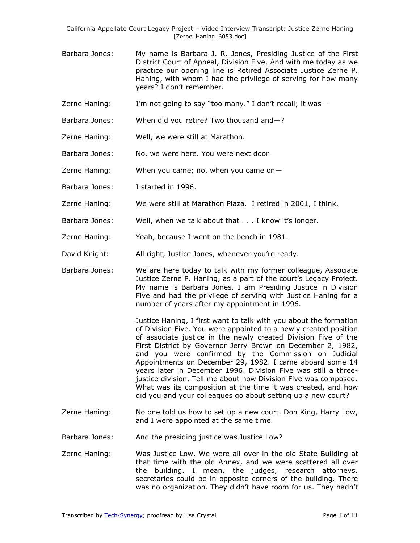- Barbara Jones: My name is Barbara J. R. Jones, Presiding Justice of the First District Court of Appeal, Division Five. And with me today as we practice our opening line is Retired Associate Justice Zerne P. Haning, with whom I had the privilege of serving for how many years? I don't remember.
- Zerne Haning: I'm not going to say "too many." I don't recall; it was—
- Barbara Jones: When did you retire? Two thousand and—?
- Zerne Haning: Well, we were still at Marathon.
- Barbara Jones: No, we were here. You were next door.
- Zerne Haning: When you came; no, when you came on—
- Barbara Jones: I started in 1996.
- Zerne Haning: We were still at Marathon Plaza. I retired in 2001, I think.
- Barbara Jones: Well, when we talk about that . . . I know it's longer.
- Zerne Haning: Yeah, because I went on the bench in 1981.
- David Knight: All right, Justice Jones, whenever you're ready.
- Barbara Jones: We are here today to talk with my former colleague, Associate Justice Zerne P. Haning, as a part of the court's Legacy Project. My name is Barbara Jones. I am Presiding Justice in Division Five and had the privilege of serving with Justice Haning for a number of years after my appointment in 1996.

Justice Haning, I first want to talk with you about the formation of Division Five. You were appointed to a newly created position of associate justice in the newly created Division Five of the First District by Governor Jerry Brown on December 2, 1982, and you were confirmed by the Commission on Judicial Appointments on December 29, 1982. I came aboard some 14 years later in December 1996. Division Five was still a threejustice division. Tell me about how Division Five was composed. What was its composition at the time it was created, and how did you and your colleagues go about setting up a new court?

- Zerne Haning: No one told us how to set up a new court. Don King, Harry Low, and I were appointed at the same time.
- Barbara Jones: And the presiding justice was Justice Low?
- Zerne Haning: Was Justice Low. We were all over in the old State Building at that time with the old Annex, and we were scattered all over the building. I mean, the judges, research attorneys, secretaries could be in opposite corners of the building. There was no organization. They didn't have room for us. They hadn't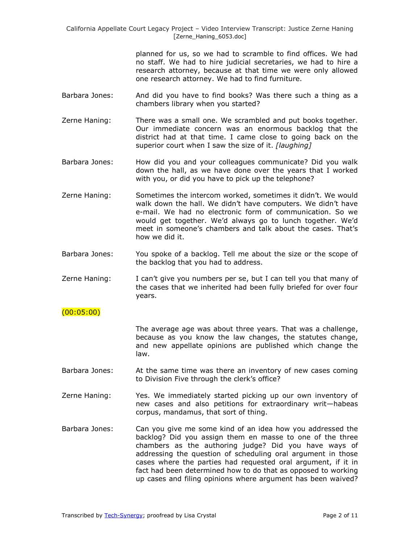> planned for us, so we had to scramble to find offices. We had no staff. We had to hire judicial secretaries, we had to hire a research attorney, because at that time we were only allowed one research attorney. We had to find furniture.

- Barbara Jones: And did you have to find books? Was there such a thing as a chambers library when you started?
- Zerne Haning: There was a small one. We scrambled and put books together. Our immediate concern was an enormous backlog that the district had at that time. I came close to going back on the superior court when I saw the size of it. *[laughing]*
- Barbara Jones: How did you and your colleagues communicate? Did you walk down the hall, as we have done over the years that I worked with you, or did you have to pick up the telephone?
- Zerne Haning: Sometimes the intercom worked, sometimes it didn't. We would walk down the hall. We didn't have computers. We didn't have e-mail. We had no electronic form of communication. So we would get together. We'd always go to lunch together. We'd meet in someone's chambers and talk about the cases. That's how we did it.
- Barbara Jones: You spoke of a backlog. Tell me about the size or the scope of the backlog that you had to address.
- Zerne Haning: I can't give you numbers per se, but I can tell you that many of the cases that we inherited had been fully briefed for over four years.

## (00:05:00)

The average age was about three years. That was a challenge, because as you know the law changes, the statutes change, and new appellate opinions are published which change the law.

- Barbara Jones: At the same time was there an inventory of new cases coming to Division Five through the clerk's office?
- Zerne Haning: Yes. We immediately started picking up our own inventory of new cases and also petitions for extraordinary writ—habeas corpus, mandamus, that sort of thing.
- Barbara Jones: Can you give me some kind of an idea how you addressed the backlog? Did you assign them en masse to one of the three chambers as the authoring judge? Did you have ways of addressing the question of scheduling oral argument in those cases where the parties had requested oral argument, if it in fact had been determined how to do that as opposed to working up cases and filing opinions where argument has been waived?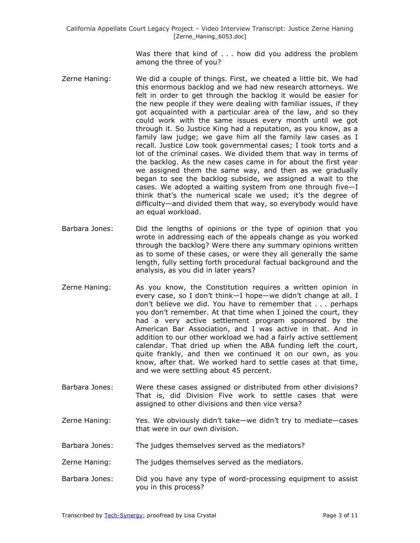Was there that kind of . . . how did you address the problem among the three of you?

- Zerne Haning: We did a couple of things. First, we cheated a little bit. We had this enormous backlog and we had new research attorneys. We felt in order to get through the backlog it would be easier for the new people if they were dealing with familiar issues, if they got acquainted with a particular area of the law, and so they could work with the same issues every month until we got through it. So Justice King had a reputation, as you know, as a family law judge; we gave him all the family law cases as I recall. Justice Low took governmental cases; I took torts and a lot of the criminal cases. We divided them that way in terms of the backlog. As the new cases came in for about the first year we assigned them the same way, and then as we gradually began to see the backlog subside, we assigned a wait to the cases. We adopted a waiting system from one through five—I think that's the numerical scale we used; it's the degree of difficulty—and divided them that way, so everybody would have an equal workload.
- Barbara Jones: Did the lengths of opinions or the type of opinion that you wrote in addressing each of the appeals change as you worked through the backlog? Were there any summary opinions written as to some of these cases, or were they all generally the same length, fully setting forth procedural factual background and the analysis, as you did in later years?
- Zerne Haning: As you know, the Constitution requires a written opinion in every case, so I don't think—I hope—we didn't change at all. I don't believe we did. You have to remember that . . . perhaps you don't remember. At that time when I joined the court, they had a very active settlement program sponsored by the American Bar Association, and I was active in that. And in addition to our other workload we had a fairly active settlement calendar. That dried up when the ABA funding left the court, quite frankly, and then we continued it on our own, as you know, after that. We worked hard to settle cases at that time, and we were settling about 45 percent.
- Barbara Jones: Were these cases assigned or distributed from other divisions? That is, did Division Five work to settle cases that were assigned to other divisions and then vice versa?
- Zerne Haning: Yes. We obviously didn't take—we didn't try to mediate—cases that were in our own division.
- Barbara Jones: The judges themselves served as the mediators?
- Zerne Haning: The judges themselves served as the mediators.
- Barbara Jones: Did you have any type of word-processing equipment to assist you in this process?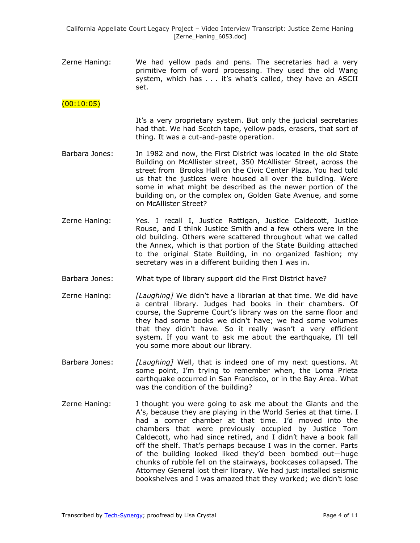Zerne Haning: We had yellow pads and pens. The secretaries had a very primitive form of word processing. They used the old Wang system, which has . . . it's what's called, they have an ASCII set.

# $(00:10:05)$

- It's a very proprietary system. But only the judicial secretaries had that. We had Scotch tape, yellow pads, erasers, that sort of thing. It was a cut-and-paste operation.
- Barbara Jones: In 1982 and now, the First District was located in the old State Building on McAllister street, 350 McAllister Street, across the street from Brooks Hall on the Civic Center Plaza. You had told us that the justices were housed all over the building. Were some in what might be described as the newer portion of the building on, or the complex on, Golden Gate Avenue, and some on McAllister Street?
- Zerne Haning: Yes. I recall I, Justice Rattigan, Justice Caldecott, Justice Rouse, and I think Justice Smith and a few others were in the old building. Others were scattered throughout what we called the Annex, which is that portion of the State Building attached to the original State Building, in no organized fashion; my secretary was in a different building then I was in.
- Barbara Jones: What type of library support did the First District have?
- Zerne Haning: *[Laughing]* We didn't have a librarian at that time. We did have a central library. Judges had books in their chambers. Of course, the Supreme Court's library was on the same floor and they had some books we didn't have; we had some volumes that they didn't have. So it really wasn't a very efficient system. If you want to ask me about the earthquake, I'll tell you some more about our library.
- Barbara Jones: *[Laughing]* Well, that is indeed one of my next questions. At some point, I'm trying to remember when, the Loma Prieta earthquake occurred in San Francisco, or in the Bay Area. What was the condition of the building?
- Zerne Haning: I thought you were going to ask me about the Giants and the A's, because they are playing in the World Series at that time. I had a corner chamber at that time. I'd moved into the chambers that were previously occupied by Justice Tom Caldecott, who had since retired, and I didn't have a book fall off the shelf. That's perhaps because I was in the corner. Parts of the building looked liked they'd been bombed out—huge chunks of rubble fell on the stairways, bookcases collapsed. The Attorney General lost their library. We had just installed seismic bookshelves and I was amazed that they worked; we didn't lose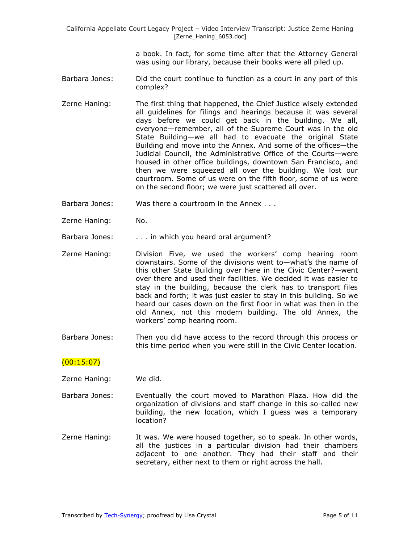a book. In fact, for some time after that the Attorney General was using our library, because their books were all piled up.

- Barbara Jones: Did the court continue to function as a court in any part of this complex?
- Zerne Haning: The first thing that happened, the Chief Justice wisely extended all guidelines for filings and hearings because it was several days before we could get back in the building. We all, everyone—remember, all of the Supreme Court was in the old State Building—we all had to evacuate the original State Building and move into the Annex. And some of the offices—the Judicial Council, the Administrative Office of the Courts—were housed in other office buildings, downtown San Francisco, and then we were squeezed all over the building. We lost our courtroom. Some of us were on the fifth floor, some of us were on the second floor; we were just scattered all over.
- Barbara Jones: Was there a courtroom in the Annex . . .
- Zerne Haning: No.
- Barbara Jones: . . . . in which you heard oral argument?
- Zerne Haning: Division Five, we used the workers' comp hearing room downstairs. Some of the divisions went to—what's the name of this other State Building over here in the Civic Center?—went over there and used their facilities. We decided it was easier to stay in the building, because the clerk has to transport files back and forth; it was just easier to stay in this building. So we heard our cases down on the first floor in what was then in the old Annex, not this modern building. The old Annex, the workers' comp hearing room.
- Barbara Jones: Then you did have access to the record through this process or this time period when you were still in the Civic Center location.

## $(00:15:07)$

Zerne Haning: We did.

- Barbara Jones: Eventually the court moved to Marathon Plaza. How did the organization of divisions and staff change in this so-called new building, the new location, which I guess was a temporary location?
- Zerne Haning: It was. We were housed together, so to speak. In other words, all the justices in a particular division had their chambers adjacent to one another. They had their staff and their secretary, either next to them or right across the hall.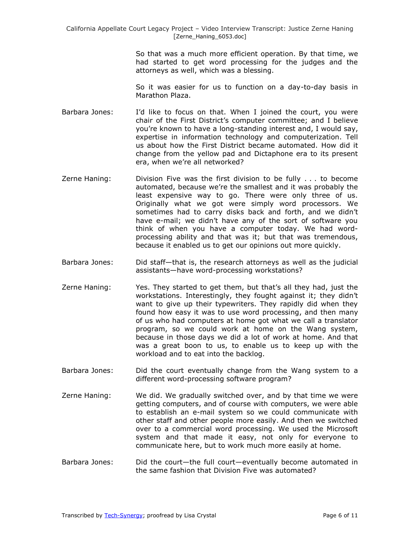So that was a much more efficient operation. By that time, we had started to get word processing for the judges and the attorneys as well, which was a blessing.

So it was easier for us to function on a day-to-day basis in Marathon Plaza.

- Barbara Jones: I'd like to focus on that. When I joined the court, you were chair of the First District's computer committee; and I believe you're known to have a long-standing interest and, I would say, expertise in information technology and computerization. Tell us about how the First District became automated. How did it change from the yellow pad and Dictaphone era to its present era, when we're all networked?
- Zerne Haning: Division Five was the first division to be fully . . . to become automated, because we're the smallest and it was probably the least expensive way to go. There were only three of us. Originally what we got were simply word processors. We sometimes had to carry disks back and forth, and we didn't have e-mail; we didn't have any of the sort of software you think of when you have a computer today. We had wordprocessing ability and that was it; but that was tremendous, because it enabled us to get our opinions out more quickly.
- Barbara Jones: Did staff—that is, the research attorneys as well as the judicial assistants—have word-processing workstations?
- Zerne Haning: Yes. They started to get them, but that's all they had, just the workstations. Interestingly, they fought against it; they didn't want to give up their typewriters. They rapidly did when they found how easy it was to use word processing, and then many of us who had computers at home got what we call a translator program, so we could work at home on the Wang system, because in those days we did a lot of work at home. And that was a great boon to us, to enable us to keep up with the workload and to eat into the backlog.
- Barbara Jones: Did the court eventually change from the Wang system to a different word-processing software program?
- Zerne Haning: We did. We gradually switched over, and by that time we were getting computers, and of course with computers, we were able to establish an e-mail system so we could communicate with other staff and other people more easily. And then we switched over to a commercial word processing. We used the Microsoft system and that made it easy, not only for everyone to communicate here, but to work much more easily at home.
- Barbara Jones: Did the court—the full court—eventually become automated in the same fashion that Division Five was automated?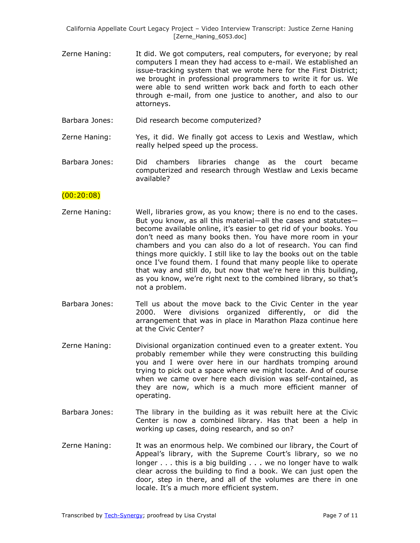- Zerne Haning: It did. We got computers, real computers, for everyone; by real computers I mean they had access to e-mail. We established an issue-tracking system that we wrote here for the First District; we brought in professional programmers to write it for us. We were able to send written work back and forth to each other through e-mail, from one justice to another, and also to our attorneys.
- Barbara Jones: Did research become computerized?

Zerne Haning: Yes, it did. We finally got access to Lexis and Westlaw, which really helped speed up the process.

Barbara Jones: Did chambers libraries change as the court became computerized and research through Westlaw and Lexis became available?

### $(00:20:08)$

- Zerne Haning: Well, libraries grow, as you know; there is no end to the cases. But you know, as all this material—all the cases and statutes become available online, it's easier to get rid of your books. You don't need as many books then. You have more room in your chambers and you can also do a lot of research. You can find things more quickly. I still like to lay the books out on the table once I've found them. I found that many people like to operate that way and still do, but now that we're here in this building, as you know, we're right next to the combined library, so that's not a problem.
- Barbara Jones: Tell us about the move back to the Civic Center in the year 2000. Were divisions organized differently, or did the arrangement that was in place in Marathon Plaza continue here at the Civic Center?
- Zerne Haning: Divisional organization continued even to a greater extent. You probably remember while they were constructing this building you and I were over here in our hardhats tromping around trying to pick out a space where we might locate. And of course when we came over here each division was self-contained, as they are now, which is a much more efficient manner of operating.
- Barbara Jones: The library in the building as it was rebuilt here at the Civic Center is now a combined library. Has that been a help in working up cases, doing research, and so on?
- Zerne Haning: It was an enormous help. We combined our library, the Court of Appeal's library, with the Supreme Court's library, so we no longer . . . this is a big building . . . we no longer have to walk clear across the building to find a book. We can just open the door, step in there, and all of the volumes are there in one locale. It's a much more efficient system.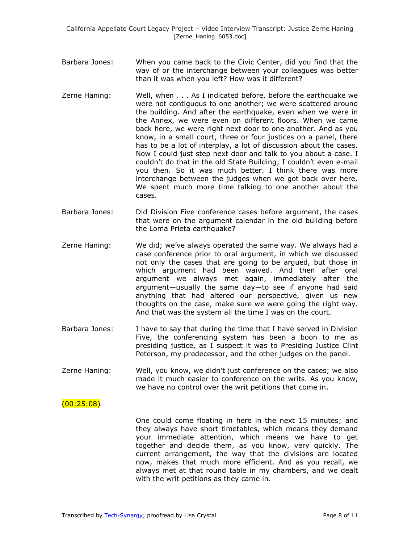- Barbara Jones: When you came back to the Civic Center, did you find that the way of or the interchange between your colleagues was better than it was when you left? How was it different?
- Zerne Haning: Well, when . . . As I indicated before, before the earthquake we were not contiguous to one another; we were scattered around the building. And after the earthquake, even when we were in the Annex, we were even on different floors. When we came back here, we were right next door to one another. And as you know, in a small court, three or four justices on a panel, there has to be a lot of interplay, a lot of discussion about the cases. Now I could just step next door and talk to you about a case. I couldn't do that in the old State Building; I couldn't even e-mail you then. So it was much better. I think there was more interchange between the judges when we got back over here. We spent much more time talking to one another about the cases.
- Barbara Jones: Did Division Five conference cases before argument, the cases that were on the argument calendar in the old building before the Loma Prieta earthquake?
- Zerne Haning: We did; we've always operated the same way. We always had a case conference prior to oral argument, in which we discussed not only the cases that are going to be argued, but those in which argument had been waived. And then after oral argument we always met again, immediately after the argument—usually the same day—to see if anyone had said anything that had altered our perspective, given us new thoughts on the case, make sure we were going the right way. And that was the system all the time I was on the court.
- Barbara Jones: I have to say that during the time that I have served in Division Five, the conferencing system has been a boon to me as presiding justice, as I suspect it was to Presiding Justice Clint Peterson, my predecessor, and the other judges on the panel.
- Zerne Haning: Well, you know, we didn't just conference on the cases; we also made it much easier to conference on the writs. As you know, we have no control over the writ petitions that come in.

## $(00:25:08)$

One could come floating in here in the next 15 minutes; and they always have short timetables, which means they demand your immediate attention, which means we have to get together and decide them, as you know, very quickly. The current arrangement, the way that the divisions are located now, makes that much more efficient. And as you recall, we always met at that round table in my chambers, and we dealt with the writ petitions as they came in.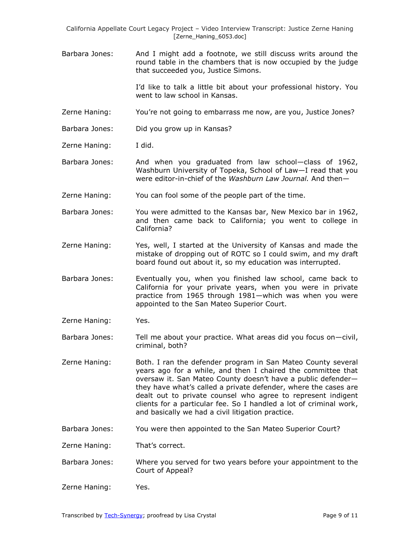Barbara Jones: And I might add a footnote, we still discuss writs around the round table in the chambers that is now occupied by the judge that succeeded you, Justice Simons.

> I'd like to talk a little bit about your professional history. You went to law school in Kansas.

- Zerne Haning: You're not going to embarrass me now, are you, Justice Jones?
- Barbara Jones: Did you grow up in Kansas?
- Zerne Haning: I did.
- Barbara Jones: And when you graduated from law school—class of 1962, Washburn University of Topeka, School of Law—I read that you were editor-in-chief of the *Washburn Law Journal.* And then—
- Zerne Haning: You can fool some of the people part of the time.
- Barbara Jones: You were admitted to the Kansas bar, New Mexico bar in 1962, and then came back to California; you went to college in California?
- Zerne Haning: Yes, well, I started at the University of Kansas and made the mistake of dropping out of ROTC so I could swim, and my draft board found out about it, so my education was interrupted.
- Barbara Jones: Eventually you, when you finished law school, came back to California for your private years, when you were in private practice from 1965 through 1981—which was when you were appointed to the San Mateo Superior Court.
- Zerne Haning: Yes.
- Barbara Jones: Tell me about your practice. What areas did you focus on—civil, criminal, both?
- Zerne Haning: Both. I ran the defender program in San Mateo County several years ago for a while, and then I chaired the committee that oversaw it. San Mateo County doesn't have a public defender they have what's called a private defender, where the cases are dealt out to private counsel who agree to represent indigent clients for a particular fee. So I handled a lot of criminal work, and basically we had a civil litigation practice.
- Barbara Jones: You were then appointed to the San Mateo Superior Court?

Zerne Haning: That's correct.

Barbara Jones: Where you served for two years before your appointment to the Court of Appeal?

Zerne Haning: Yes.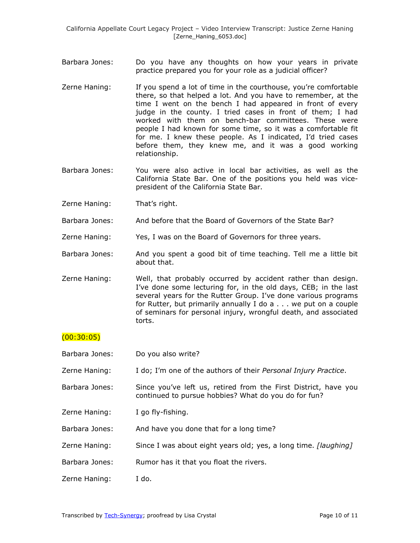- Barbara Jones: Do you have any thoughts on how your years in private practice prepared you for your role as a judicial officer?
- Zerne Haning: If you spend a lot of time in the courthouse, you're comfortable there, so that helped a lot. And you have to remember, at the time I went on the bench I had appeared in front of every judge in the county. I tried cases in front of them; I had worked with them on bench-bar committees. These were people I had known for some time, so it was a comfortable fit for me. I knew these people. As I indicated, I'd tried cases before them, they knew me, and it was a good working relationship.
- Barbara Jones: You were also active in local bar activities, as well as the California State Bar. One of the positions you held was vicepresident of the California State Bar.
- Zerne Haning: That's right.
- Barbara Jones: And before that the Board of Governors of the State Bar?
- Zerne Haning: Yes, I was on the Board of Governors for three years.
- Barbara Jones: And you spent a good bit of time teaching. Tell me a little bit about that.
- Zerne Haning: Well, that probably occurred by accident rather than design. I've done some lecturing for, in the old days, CEB; in the last several years for the Rutter Group. I've done various programs for Rutter, but primarily annually I do a . . . we put on a couple of seminars for personal injury, wrongful death, and associated torts.

## $(00:30:05)$

- Barbara Jones: Do you also write?
- Zerne Haning: I do; I'm one of the authors of their *Personal Injury Practice*.
- Barbara Jones: Since you've left us, retired from the First District, have you continued to pursue hobbies? What do you do for fun?
- Zerne Haning: I go fly-fishing.
- Barbara Jones: And have you done that for a long time?
- Zerne Haning: Since I was about eight years old; yes, a long time. *[laughing]*
- Barbara Jones: Rumor has it that you float the rivers.
- Zerne Haning: I do.